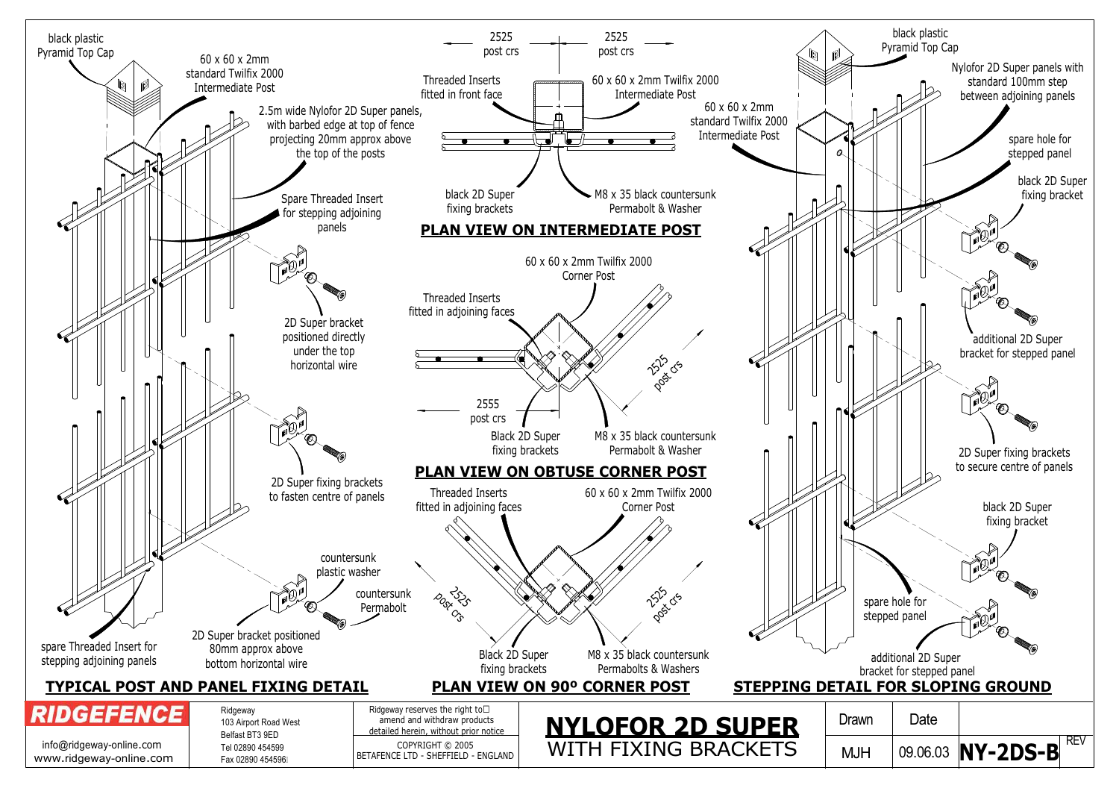